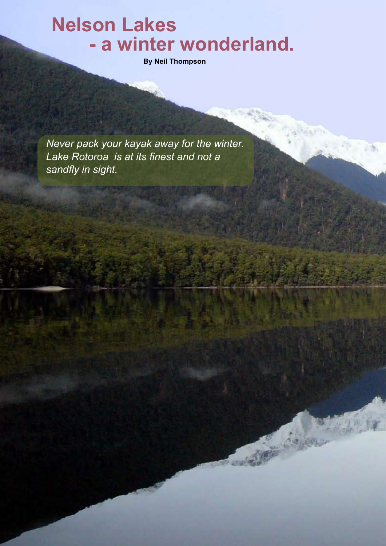## **Nelson Lakes - a winter wonderland.**

**By Neil Thompson**

*Never pack your kayak away for the winter. Lake Rotoroa is at its finest and not a sandfly in sight.*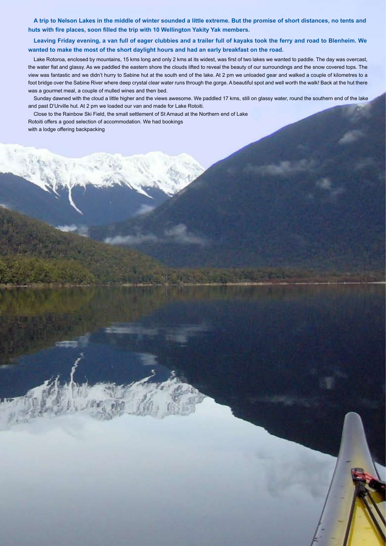**A trip to Nelson Lakes in the middle of winter sounded a little extreme. But the promise of short distances, no tents and huts with fire places, soon filled the trip with 10 Wellington Yakity Yak members.**

**Leaving Friday evening, a van full of eager clubbies and a trailer full of kayaks took the ferry and road to Blenheim. We wanted to make the most of the short daylight hours and had an early breakfast on the road.**

Lake Rotoroa, enclosed by mountains, 15 kms long and only 2 kms at its widest, was first of two lakes we wanted to paddle. The day was overcast, the water flat and glassy. As we paddled the eastern shore the clouds lifted to reveal the beauty of our surroundings and the snow covered tops. The view was fantastic and we didn't hurry to Sabine hut at the south end of the lake. At 2 pm we unloaded gear and walked a couple of kilometres to a foot bridge over the Sabine River where deep crystal clear water runs through the gorge. A beautiful spot and well worth the walk! Back at the hut there was a gourmet meal, a couple of mulled wines and then bed.

Sunday dawned with the cloud a little higher and the views awesome. We paddled 17 kms, still on glassy water, round the southern end of the lake and past D'Urville hut. At 2 pm we loaded our van and made for Lake Rotoiti.

Close to the Rainbow Ski Field, the small settlement of St Arnaud at the Northern end of Lake Rotoiti offers a good selection of accommodation. We had bookings with a lodge offering backpacking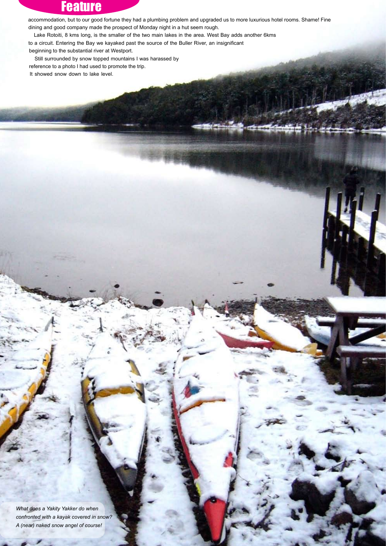## **Feature**

accommodation, but to our good fortune they had a plumbing problem and upgraded us to more luxurious hotel rooms. Shame! Fine dining and good company made the prospect of Monday night in a hut seem rough.

Lake Rotoiti, 8 kms long, is the smaller of the two main lakes in the area. West Bay adds another 6kms

to a circuit. Entering the Bay we kayaked past the source of the Buller River, an insignificant

beginning to the substantial river at Westport.

Still surrounded by snow topped mountains I was harassed by reference to a photo I had used to promote the trip. It showed snow down to lake level.

*What does a Yakity Yakker do when confronted with a kayak covered in snow? A (near) naked snow angel of course!*